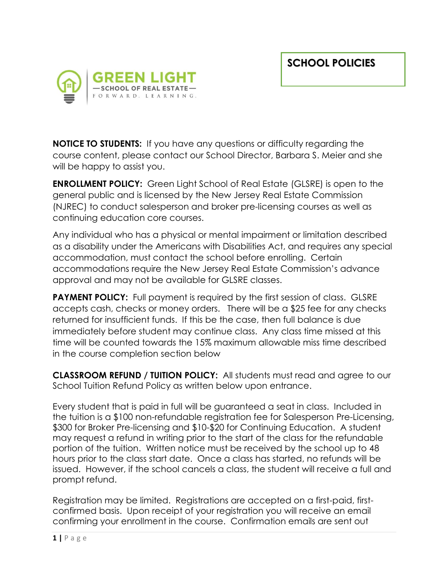

**NOTICE TO STUDENTS:** If you have any questions or difficulty regarding the course content, please contact our School Director, Barbara S. Meier and she will be happy to assist you.

**ENROLLMENT POLICY:** Green Light School of Real Estate (GLSRE) is open to the general public and is licensed by the New Jersey Real Estate Commission (NJREC) to conduct salesperson and broker pre-licensing courses as well as continuing education core courses.

Any individual who has a physical or mental impairment or limitation described as a disability under the Americans with Disabilities Act, and requires any special accommodation, must contact the school before enrolling. Certain accommodations require the New Jersey Real Estate Commission's advance approval and may not be available for GLSRE classes.

**PAYMENT POLICY:** Full payment is required by the first session of class. GLSRE accepts cash, checks or money orders. There will be a \$25 fee for any checks returned for insufficient funds. If this be the case, then full balance is due immediately before student may continue class. Any class time missed at this time will be counted towards the 15% maximum allowable miss time described in the course completion section below

**CLASSROOM REFUND / TUITION POLICY:** All students must read and agree to our School Tuition Refund Policy as written below upon entrance.

Every student that is paid in full will be guaranteed a seat in class. Included in the tuition is a \$100 non-refundable registration fee for Salesperson Pre-Licensing, \$300 for Broker Pre-licensing and \$10-\$20 for Continuing Education. A student may request a refund in writing prior to the start of the class for the refundable portion of the tuition. Written notice must be received by the school up to 48 hours prior to the class start date. Once a class has started, no refunds will be issued. However, if the school cancels a class, the student will receive a full and prompt refund.

Registration may be limited. Registrations are accepted on a first-paid, firstconfirmed basis. Upon receipt of your registration you will receive an email confirming your enrollment in the course. Confirmation emails are sent out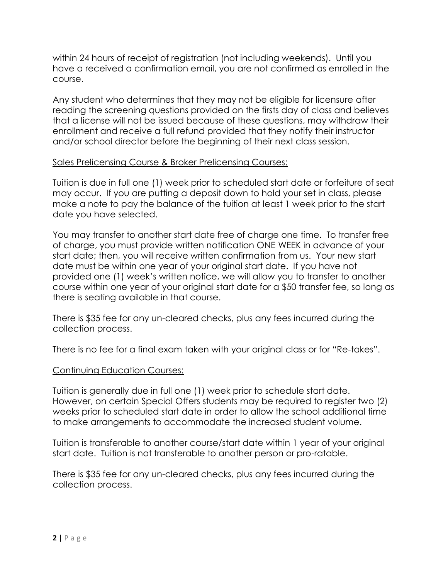within 24 hours of receipt of registration (not including weekends). Until you have a received a confirmation email, you are not confirmed as enrolled in the course.

Any student who determines that they may not be eligible for licensure after reading the screening questions provided on the firsts day of class and believes that a license will not be issued because of these questions, may withdraw their enrollment and receive a full refund provided that they notify their instructor and/or school director before the beginning of their next class session.

## Sales Prelicensing Course & Broker Prelicensing Courses:

Tuition is due in full one (1) week prior to scheduled start date or forfeiture of seat may occur. If you are putting a deposit down to hold your set in class, please make a note to pay the balance of the tuition at least 1 week prior to the start date you have selected.

You may transfer to another start date free of charge one time. To transfer free of charge, you must provide written notification ONE WEEK in advance of your start date; then, you will receive written confirmation from us. Your new start date must be within one year of your original start date. If you have not provided one (1) week's written notice, we will allow you to transfer to another course within one year of your original start date for a \$50 transfer fee, so long as there is seating available in that course.

There is \$35 fee for any un-cleared checks, plus any fees incurred during the collection process.

There is no fee for a final exam taken with your original class or for "Re-takes".

## Continuing Education Courses:

Tuition is generally due in full one (1) week prior to schedule start date. However, on certain Special Offers students may be required to register two (2) weeks prior to scheduled start date in order to allow the school additional time to make arrangements to accommodate the increased student volume.

Tuition is transferable to another course/start date within 1 year of your original start date. Tuition is not transferable to another person or pro-ratable.

There is \$35 fee for any un-cleared checks, plus any fees incurred during the collection process.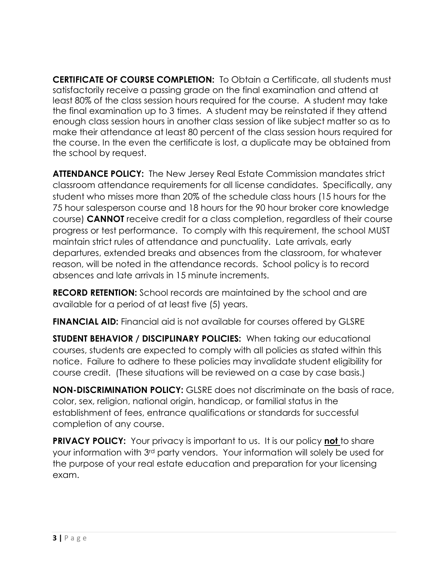**CERTIFICATE OF COURSE COMPLETION:** To Obtain a Certificate, all students must satisfactorily receive a passing grade on the final examination and attend at least 80% of the class session hours required for the course. A student may take the final examination up to 3 times. A student may be reinstated if they attend enough class session hours in another class session of like subject matter so as to make their attendance at least 80 percent of the class session hours required for the course. In the even the certificate is lost, a duplicate may be obtained from the school by request.

**ATTENDANCE POLICY:** The New Jersey Real Estate Commission mandates strict classroom attendance requirements for all license candidates. Specifically, any student who misses more than 20% of the schedule class hours (15 hours for the 75 hour salesperson course and 18 hours for the 90 hour broker core knowledge course) **CANNOT** receive credit for a class completion, regardless of their course progress or test performance. To comply with this requirement, the school MUST maintain strict rules of attendance and punctuality. Late arrivals, early departures, extended breaks and absences from the classroom, for whatever reason, will be noted in the attendance records. School policy is to record absences and late arrivals in 15 minute increments.

**RECORD RETENTION:** School records are maintained by the school and are available for a period of at least five (5) years.

**FINANCIAL AID:** Financial aid is not available for courses offered by GLSRE

**STUDENT BEHAVIOR / DISCIPLINARY POLICIES:** When taking our educational courses, students are expected to comply with all policies as stated within this notice. Failure to adhere to these policies may invalidate student eligibility for course credit. (These situations will be reviewed on a case by case basis.)

**NON-DISCRIMINATION POLICY:** GLSRE does not discriminate on the basis of race, color, sex, religion, national origin, handicap, or familial status in the establishment of fees, entrance qualifications or standards for successful completion of any course.

**PRIVACY POLICY:** Your privacy is important to us. It is our policy not to share your information with 3rd party vendors. Your information will solely be used for the purpose of your real estate education and preparation for your licensing exam.